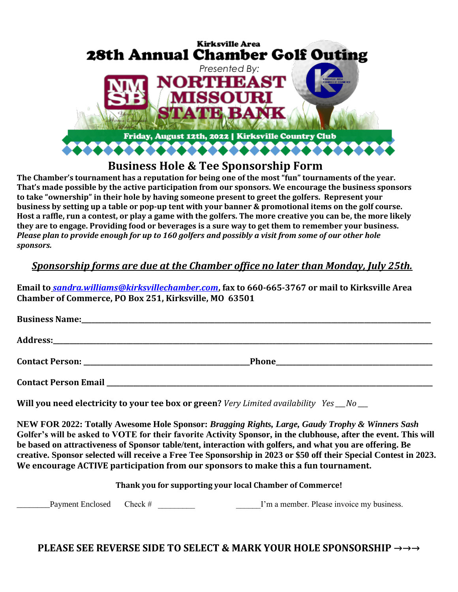

## **Business Hole & Tee Sponsorship Form**

**The Chamber's tournament has a reputation for being one of the most "fun" tournaments of the year. That's made possible by the active participation from our sponsors. We encourage the business sponsors to take "ownership" in their hole by having someone present to greet the golfers. Represent your business by setting up a table or pop-up tent with your banner & promotional items on the golf course. Host a raffle, run a contest, or play a game with the golfers. The more creative you can be, the more likely they are to engage. Providing food or beverages is a sure way to get them to remember your business.** *Please plan to provide enough for up to 160 golfers and possibly a visit from some of our other hole sponsors.*

## *Sponsorship forms are due at the Chamber office no later than Monday, July 25th.*

**Email to** *[sandra.williams@kirksvillechamber.com](mailto:sandra.williams@kirksvillechamber.com)***, fax to 660-665-3767 or mail to Kirksville Area Chamber of Commerce, PO Box 251, Kirksville, MO 63501**

**Will you need electricity to your tee box or green?** *Very Limited availability Yes \_\_\_No \_\_\_*

**NEW FOR 2022: Totally Awesome Hole Sponsor:** *Bragging Rights, Large, Gaudy Trophy & Winners Sash* **Golfer's will be asked to VOTE for their favorite Activity Sponsor, in the clubhouse, after the event. This will be based on attractiveness of Sponsor table/tent, interaction with golfers, and what you are offering. Be creative. Sponsor selected will receive a Free Tee Sponsorship in 2023 or \$50 off their Special Contest in 2023. We encourage ACTIVE participation from our sponsors to make this a fun tournament.**

**Thank you for supporting your local Chamber of Commerce!**

Payment Enclosed Check #  $\Box$  T'm a member. Please invoice my business.

**PLEASE SEE REVERSE SIDE TO SELECT & MARK YOUR HOLE SPONSORSHIP →→→**